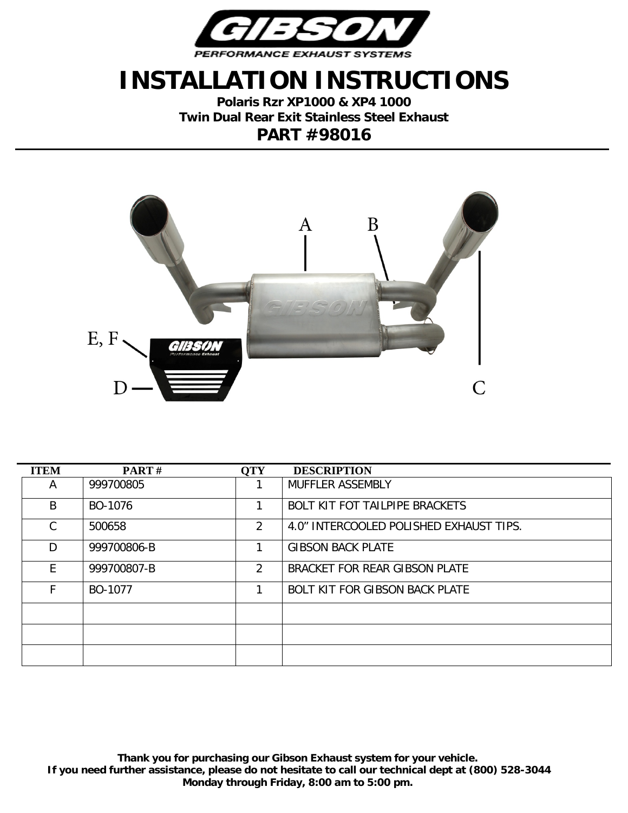

## **INSTALLATION INSTRUCTIONS**

**Polaris Rzr XP1000 & XP4 1000 Twin Dual Rear Exit Stainless Steel Exhaust PART #98016**



| <b>ITEM</b> | <b>PART</b> $#$ | <b>QTY</b> | <b>DESCRIPTION</b>                      |
|-------------|-----------------|------------|-----------------------------------------|
| Α           | 999700805       |            | MUFFLER ASSEMBLY                        |
| B           | BO-1076         |            | <b>BOLT KIT FOT TAILPIPE BRACKETS</b>   |
| C           | 500658          | 2          | 4.0" INTERCOOLED POLISHED EXHAUST TIPS. |
| D.          | 999700806-B     | 1          | <b>GIBSON BACK PLATE</b>                |
| F.          | 999700807-B     | 2          | BRACKET FOR REAR GIBSON PLATE           |
| F           | BO-1077         |            | <b>BOLT KIT FOR GIBSON BACK PLATE</b>   |
|             |                 |            |                                         |
|             |                 |            |                                         |
|             |                 |            |                                         |

**Thank you for purchasing our Gibson Exhaust system for your vehicle. If you need further assistance, please do not hesitate to call our technical dept at (800) 528-3044 Monday through Friday, 8:00 am to 5:00 pm.**